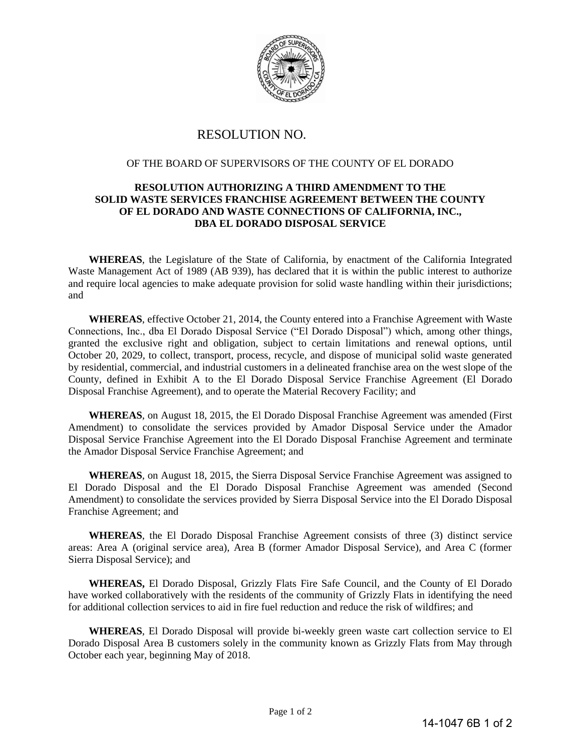

## RESOLUTION NO.

## OF THE BOARD OF SUPERVISORS OF THE COUNTY OF EL DORADO

## **RESOLUTION AUTHORIZING A THIRD AMENDMENT TO THE SOLID WASTE SERVICES FRANCHISE AGREEMENT BETWEEN THE COUNTY OF EL DORADO AND WASTE CONNECTIONS OF CALIFORNIA, INC., DBA EL DORADO DISPOSAL SERVICE**

**WHEREAS**, the Legislature of the State of California, by enactment of the California Integrated Waste Management Act of 1989 (AB 939), has declared that it is within the public interest to authorize and require local agencies to make adequate provision for solid waste handling within their jurisdictions; and

**WHEREAS**, effective October 21, 2014, the County entered into a Franchise Agreement with Waste Connections, Inc., dba El Dorado Disposal Service ("El Dorado Disposal") which, among other things, granted the exclusive right and obligation, subject to certain limitations and renewal options, until October 20, 2029, to collect, transport, process, recycle, and dispose of municipal solid waste generated by residential, commercial, and industrial customers in a delineated franchise area on the west slope of the County, defined in Exhibit A to the El Dorado Disposal Service Franchise Agreement (El Dorado Disposal Franchise Agreement), and to operate the Material Recovery Facility; and

**WHEREAS**, on August 18, 2015, the El Dorado Disposal Franchise Agreement was amended (First Amendment) to consolidate the services provided by Amador Disposal Service under the Amador Disposal Service Franchise Agreement into the El Dorado Disposal Franchise Agreement and terminate the Amador Disposal Service Franchise Agreement; and

**WHEREAS**, on August 18, 2015, the Sierra Disposal Service Franchise Agreement was assigned to El Dorado Disposal and the El Dorado Disposal Franchise Agreement was amended (Second Amendment) to consolidate the services provided by Sierra Disposal Service into the El Dorado Disposal Franchise Agreement; and

**WHEREAS**, the El Dorado Disposal Franchise Agreement consists of three (3) distinct service areas: Area A (original service area), Area B (former Amador Disposal Service), and Area C (former Sierra Disposal Service); and

**WHEREAS,** El Dorado Disposal, Grizzly Flats Fire Safe Council, and the County of El Dorado have worked collaboratively with the residents of the community of Grizzly Flats in identifying the need for additional collection services to aid in fire fuel reduction and reduce the risk of wildfires; and

**WHEREAS**, El Dorado Disposal will provide bi-weekly green waste cart collection service to El Dorado Disposal Area B customers solely in the community known as Grizzly Flats from May through October each year, beginning May of 2018.